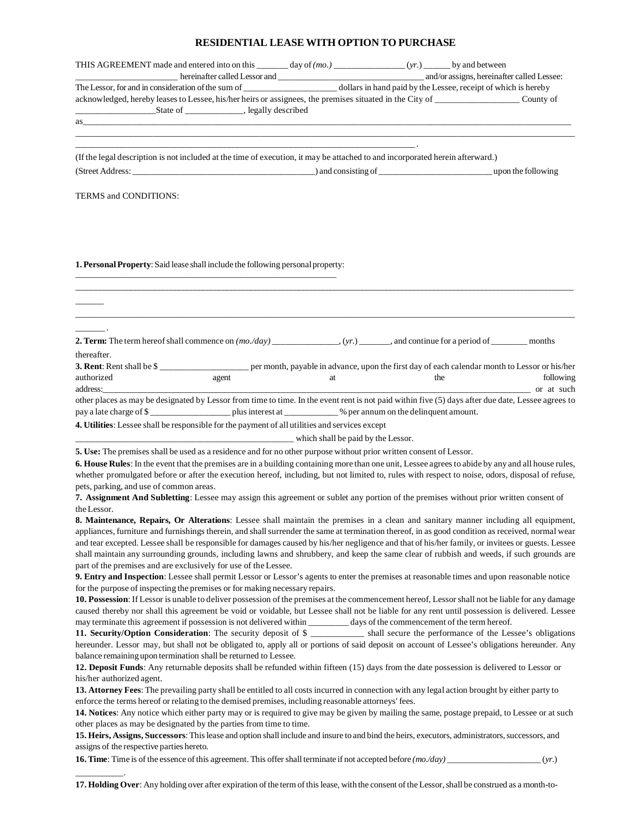## **RESIDENTIAL LEASE WITH OPTION TO PURCHASE**

| nereinafter called Lessor and <b>CONCORD 2006</b> and and and and and and and and and assigns, hereinafter called Lessee:                                                                                                                                                                                                                                                                                                                                                                                                                                                                                                                                                                                           |                                    |    |                                                                                  |                         |
|---------------------------------------------------------------------------------------------------------------------------------------------------------------------------------------------------------------------------------------------------------------------------------------------------------------------------------------------------------------------------------------------------------------------------------------------------------------------------------------------------------------------------------------------------------------------------------------------------------------------------------------------------------------------------------------------------------------------|------------------------------------|----|----------------------------------------------------------------------------------|-------------------------|
| acknowledged, hereby leases to Lessee, his/her heirs or assignees, the premises situated in the City of _____________________ County of                                                                                                                                                                                                                                                                                                                                                                                                                                                                                                                                                                             |                                    |    |                                                                                  |                         |
|                                                                                                                                                                                                                                                                                                                                                                                                                                                                                                                                                                                                                                                                                                                     |                                    |    | ,我们也不能在这里的时候,我们也不能在这里的时候,我们也不能在这里的时候,我们也不能会在这里的时候,我们也不能会在这里的时候,我们也不能会在这里的时候,我们也不 |                         |
| (If the legal description is not included at the time of execution, it may be attached to and incorporated herein afterward.)                                                                                                                                                                                                                                                                                                                                                                                                                                                                                                                                                                                       |                                    |    |                                                                                  |                         |
|                                                                                                                                                                                                                                                                                                                                                                                                                                                                                                                                                                                                                                                                                                                     |                                    |    |                                                                                  |                         |
| TERMS and CONDITIONS:                                                                                                                                                                                                                                                                                                                                                                                                                                                                                                                                                                                                                                                                                               |                                    |    |                                                                                  |                         |
| 1. Personal Property: Said lease shall include the following personal property:                                                                                                                                                                                                                                                                                                                                                                                                                                                                                                                                                                                                                                     |                                    |    |                                                                                  |                         |
|                                                                                                                                                                                                                                                                                                                                                                                                                                                                                                                                                                                                                                                                                                                     |                                    |    |                                                                                  |                         |
| 2. Term: The term hereof shall commence on $(mo$ ./day) _______________, (yr.) _______, and continue for a period of ________ months<br>thereafter.                                                                                                                                                                                                                                                                                                                                                                                                                                                                                                                                                                 |                                    |    |                                                                                  |                         |
| 3. Rent: Rent shall be \$<br>authorized<br>address:                                                                                                                                                                                                                                                                                                                                                                                                                                                                                                                                                                                                                                                                 | agent                              | at | the                                                                              | following<br>or at such |
| other places as may be designated by Lessor from time to time. In the event rent is not paid within five (5) days after due date, Lessee agrees to<br>pay a late charge of \$                                                                                                                                                                                                                                                                                                                                                                                                                                                                                                                                       |                                    |    |                                                                                  |                         |
| 4. Utilities: Lessee shall be responsible for the payment of all utilities and services except                                                                                                                                                                                                                                                                                                                                                                                                                                                                                                                                                                                                                      |                                    |    |                                                                                  |                         |
|                                                                                                                                                                                                                                                                                                                                                                                                                                                                                                                                                                                                                                                                                                                     | which shall be paid by the Lessor. |    |                                                                                  |                         |
| 5. Use: The premises shall be used as a residence and for no other purpose without prior written consent of Lessor.<br>6. House Rules: In the event that the premises are in a building containing more than one unit, Lessee agrees to abide by any and all house rules,<br>whether promulgated before or after the execution hereof, including, but not limited to, rules with respect to noise, odors, disposal of refuse,<br>pets, parking, and use of common areas.                                                                                                                                                                                                                                            |                                    |    |                                                                                  |                         |
| 7. Assignment And Subletting: Lessee may assign this agreement or sublet any portion of the premises without prior written consent of<br>the Lessor.                                                                                                                                                                                                                                                                                                                                                                                                                                                                                                                                                                |                                    |    |                                                                                  |                         |
| 8. Maintenance, Repairs, Or Alterations: Lessee shall maintain the premises in a clean and sanitary manner including all equipment,<br>appliances, furniture and furnishings therein, and shall surrender the same at termination thereof, in as good condition as received, normal wear<br>and tear excepted. Lessee shall be responsible for damages caused by his/her negligence and that of his/her family, or invitees or guests. Lessee<br>shall maintain any surrounding grounds, including lawns and shrubbery, and keep the same clear of rubbish and weeds, if such grounds are<br>part of the premises and are exclusively for use of the Lessee.                                                        |                                    |    |                                                                                  |                         |
| 9. Entry and Inspection: Lessee shall permit Lessor or Lessor's agents to enter the premises at reasonable times and upon reasonable notice<br>for the purpose of inspecting the premises or for making necessary repairs.                                                                                                                                                                                                                                                                                                                                                                                                                                                                                          |                                    |    |                                                                                  |                         |
| 10. Possession: If Lessor is unable to deliver possession of the premises at the commencement hereof, Lessor shall not be liable for any damage<br>caused thereby nor shall this agreement be void or voidable, but Lessee shall not be liable for any rent until possession is delivered. Lessee<br>may terminate this agreement if possession is not delivered within ________ days of the commencement of the term hereof.<br>11. Security/Option Consideration: The security deposit of \$ __________ shall secure the performance of the Lessee's obligations<br>hereunder. Lessor may, but shall not be obligated to, apply all or portions of said deposit on account of Lessee's obligations hereunder. Any |                                    |    |                                                                                  |                         |
| balance remaining upon termination shall be returned to Lessee.<br>12. Deposit Funds: Any returnable deposits shall be refunded within fifteen (15) days from the date possession is delivered to Lessor or<br>his/her authorized agent.                                                                                                                                                                                                                                                                                                                                                                                                                                                                            |                                    |    |                                                                                  |                         |
| 13. Attorney Fees: The prevailing party shall be entitled to all costs incurred in connection with any legal action brought by either party to<br>enforce the terms hereof or relating to the demised premises, including reasonable attorneys' fees.                                                                                                                                                                                                                                                                                                                                                                                                                                                               |                                    |    |                                                                                  |                         |
| 14. Notices: Any notice which either party may or is required to give may be given by mailing the same, postage prepaid, to Lessee or at such<br>other places as may be designated by the parties from time to time.<br>15. Heirs, Assigns, Successors: This lease and option shall include and insure to and bind the heirs, executors, administrators, successors, and                                                                                                                                                                                                                                                                                                                                            |                                    |    |                                                                                  |                         |
| assigns of the respective parties hereto.                                                                                                                                                                                                                                                                                                                                                                                                                                                                                                                                                                                                                                                                           |                                    |    |                                                                                  |                         |
|                                                                                                                                                                                                                                                                                                                                                                                                                                                                                                                                                                                                                                                                                                                     |                                    |    |                                                                                  |                         |

**17. Holding Over**: Any holding over after expiration of the term of this lease, with the consent of the Lessor, shall be construed as a month-to-